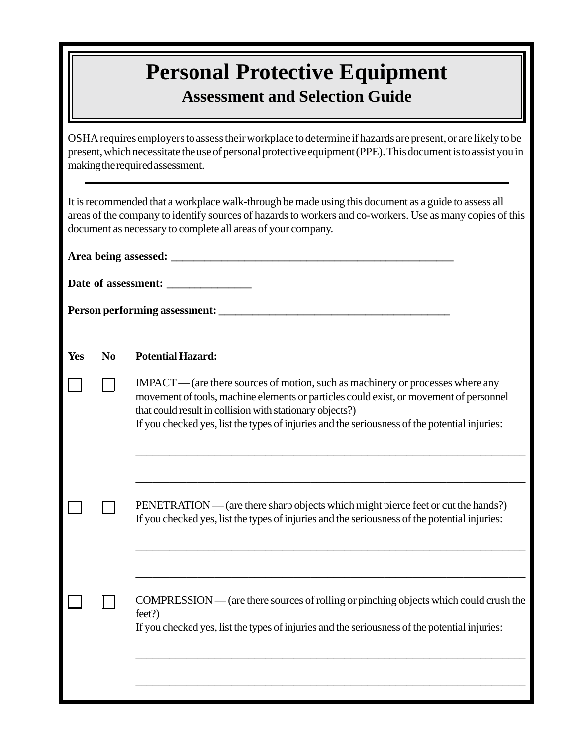## **Personal Protective Equipment Assessment and Selection Guide**

OSHA requires employers to assess their workplace to determine if hazards are present, or are likely to be present, which necessitate the use of personal protective equipment (PPE). This document is to assist you in making the required assessment.

| It is recommended that a workplace walk-through be made using this document as a guide to assess all<br>areas of the company to identify sources of hazards to workers and co-workers. Use as many copies of this<br>document as necessary to complete all areas of your company. |                |                                                                                                                                                                                                                                                                                                                                      |  |  |  |  |  |  |
|-----------------------------------------------------------------------------------------------------------------------------------------------------------------------------------------------------------------------------------------------------------------------------------|----------------|--------------------------------------------------------------------------------------------------------------------------------------------------------------------------------------------------------------------------------------------------------------------------------------------------------------------------------------|--|--|--|--|--|--|
|                                                                                                                                                                                                                                                                                   |                |                                                                                                                                                                                                                                                                                                                                      |  |  |  |  |  |  |
|                                                                                                                                                                                                                                                                                   |                |                                                                                                                                                                                                                                                                                                                                      |  |  |  |  |  |  |
|                                                                                                                                                                                                                                                                                   |                |                                                                                                                                                                                                                                                                                                                                      |  |  |  |  |  |  |
|                                                                                                                                                                                                                                                                                   |                |                                                                                                                                                                                                                                                                                                                                      |  |  |  |  |  |  |
| Yes                                                                                                                                                                                                                                                                               | N <sub>0</sub> | <b>Potential Hazard:</b>                                                                                                                                                                                                                                                                                                             |  |  |  |  |  |  |
|                                                                                                                                                                                                                                                                                   |                | IMPACT—(are there sources of motion, such as machinery or processes where any<br>movement of tools, machine elements or particles could exist, or movement of personnel<br>that could result in collision with stationary objects?)<br>If you checked yes, list the types of injuries and the seriousness of the potential injuries: |  |  |  |  |  |  |
|                                                                                                                                                                                                                                                                                   |                | PENETRATION — (are there sharp objects which might pierce feet or cut the hands?)<br>If you checked yes, list the types of injuries and the seriousness of the potential injuries:                                                                                                                                                   |  |  |  |  |  |  |
|                                                                                                                                                                                                                                                                                   |                | COMPRESSION — (are there sources of rolling or pinching objects which could crush the<br>feet?)<br>If you checked yes, list the types of injuries and the seriousness of the potential injuries:                                                                                                                                     |  |  |  |  |  |  |
|                                                                                                                                                                                                                                                                                   |                |                                                                                                                                                                                                                                                                                                                                      |  |  |  |  |  |  |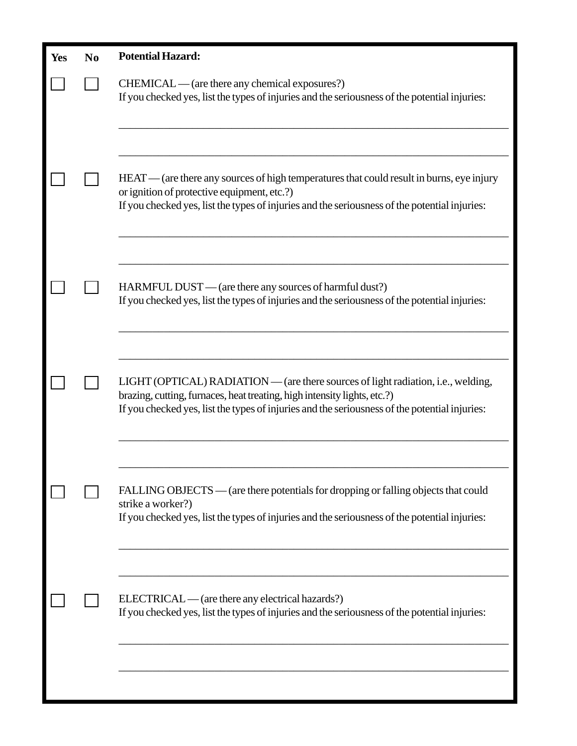| Yes | N <sub>0</sub> | <b>Potential Hazard:</b>                                                                                                                                                                                                                                       |
|-----|----------------|----------------------------------------------------------------------------------------------------------------------------------------------------------------------------------------------------------------------------------------------------------------|
|     |                | $CHEMICAL$ — (are there any chemical exposures?)<br>If you checked yes, list the types of injuries and the seriousness of the potential injuries:                                                                                                              |
|     |                | HEAT—(are there any sources of high temperatures that could result in burns, eye injury<br>or ignition of protective equipment, etc.?)<br>If you checked yes, list the types of injuries and the seriousness of the potential injuries:                        |
|     |                | HARMFUL DUST — (are there any sources of harmful dust?)<br>If you checked yes, list the types of injuries and the seriousness of the potential injuries:                                                                                                       |
|     |                | LIGHT (OPTICAL) RADIATION — (are there sources of light radiation, i.e., welding,<br>brazing, cutting, furnaces, heat treating, high intensity lights, etc.?)<br>If you checked yes, list the types of injuries and the seriousness of the potential injuries: |
|     |                | FALLING OBJECTS — (are there potentials for dropping or falling objects that could<br>strike a worker?)<br>If you checked yes, list the types of injuries and the seriousness of the potential injuries:                                                       |
|     |                | ELECTRICAL—(are there any electrical hazards?)<br>If you checked yes, list the types of injuries and the seriousness of the potential injuries:                                                                                                                |
|     |                |                                                                                                                                                                                                                                                                |